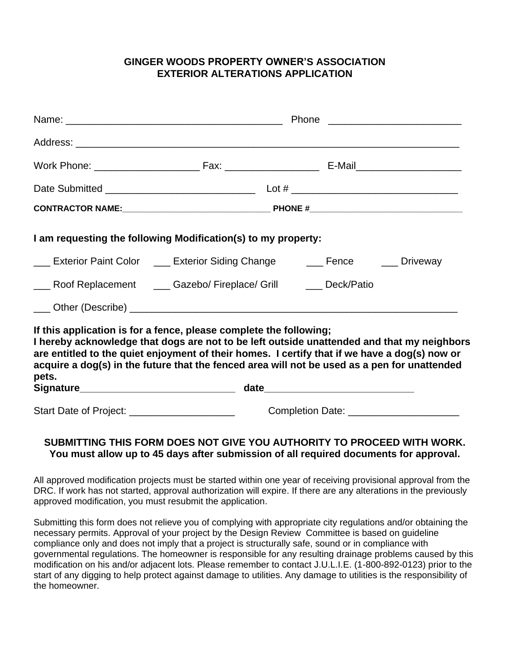## **GINGER WOODS PROPERTY OWNER'S ASSOCIATION EXTERIOR ALTERATIONS APPLICATION**

|                                               | Phone                                                                                                                                                                                                                                                                                                                                                             |                                             |  |
|-----------------------------------------------|-------------------------------------------------------------------------------------------------------------------------------------------------------------------------------------------------------------------------------------------------------------------------------------------------------------------------------------------------------------------|---------------------------------------------|--|
|                                               |                                                                                                                                                                                                                                                                                                                                                                   |                                             |  |
|                                               |                                                                                                                                                                                                                                                                                                                                                                   |                                             |  |
|                                               |                                                                                                                                                                                                                                                                                                                                                                   |                                             |  |
|                                               |                                                                                                                                                                                                                                                                                                                                                                   |                                             |  |
|                                               | I am requesting the following Modification(s) to my property:                                                                                                                                                                                                                                                                                                     |                                             |  |
|                                               | <b>Exterior Paint Color Action Exterior Siding Change Action Exterior Paint Color Action Exterior Siding Change</b>                                                                                                                                                                                                                                               |                                             |  |
|                                               | ___ Roof Replacement ____ Gazebo/ Fireplace/ Grill ____ Deck/Patio                                                                                                                                                                                                                                                                                                |                                             |  |
|                                               |                                                                                                                                                                                                                                                                                                                                                                   |                                             |  |
| pets.                                         | If this application is for a fence, please complete the following;<br>I hereby acknowledge that dogs are not to be left outside unattended and that my neighbors<br>are entitled to the quiet enjoyment of their homes. I certify that if we have a dog(s) now or<br>acquire a dog(s) in the future that the fenced area will not be used as a pen for unattended |                                             |  |
|                                               |                                                                                                                                                                                                                                                                                                                                                                   |                                             |  |
| Start Date of Project: ______________________ |                                                                                                                                                                                                                                                                                                                                                                   | Completion Date: __________________________ |  |

## **SUBMITTING THIS FORM DOES NOT GIVE YOU AUTHORITY TO PROCEED WITH WORK. You must allow up to 45 days after submission of all required documents for approval.**

All approved modification projects must be started within one year of receiving provisional approval from the DRC. If work has not started, approval authorization will expire. If there are any alterations in the previously approved modification, you must resubmit the application.

Submitting this form does not relieve you of complying with appropriate city regulations and/or obtaining the necessary permits. Approval of your project by the Design Review Committee is based on guideline compliance only and does not imply that a project is structurally safe, sound or in compliance with governmental regulations. The homeowner is responsible for any resulting drainage problems caused by this modification on his and/or adjacent lots. Please remember to contact J.U.L.I.E. (1-800-892-0123) prior to the start of any digging to help protect against damage to utilities. Any damage to utilities is the responsibility of the homeowner.